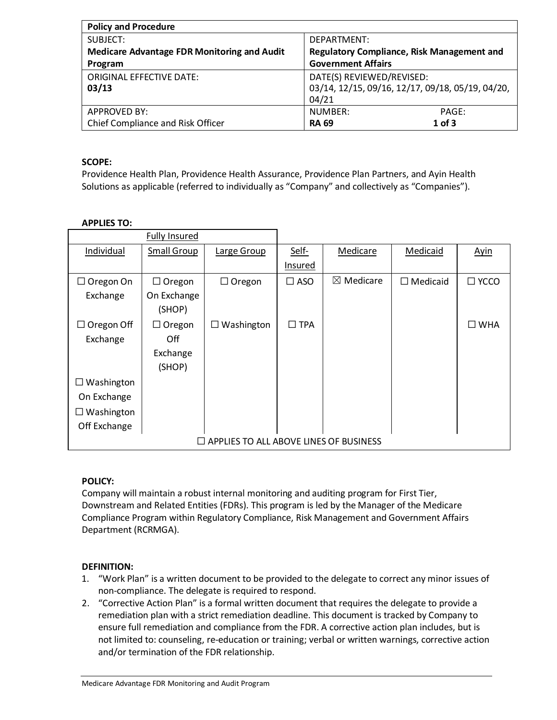| <b>Policy and Procedure</b>                        |                                                                                        |  |
|----------------------------------------------------|----------------------------------------------------------------------------------------|--|
| SUBJECT:                                           | DEPARTMENT:                                                                            |  |
| <b>Medicare Advantage FDR Monitoring and Audit</b> | Regulatory Compliance, Risk Management and                                             |  |
| Program                                            | <b>Government Affairs</b>                                                              |  |
| <b>ORIGINAL EFFECTIVE DATE:</b><br>03/13           | DATE(S) REVIEWED/REVISED:<br>03/14, 12/15, 09/16, 12/17, 09/18, 05/19, 04/20,<br>04/21 |  |
| <b>APPROVED BY:</b>                                | NUMBER:<br>PAGE:                                                                       |  |
| Chief Compliance and Risk Officer                  | $1$ of $3$<br><b>RA 69</b>                                                             |  |

# **SCOPE:**

Providence Health Plan, Providence Health Assurance, Providence Plan Partners, and Ayin Health Solutions as applicable (referred to individually as "Company" and collectively as "Companies").

# **APPLIES TO:**

|                                               | <b>Fully Insured</b> |                   |                  |                      |                 |                |
|-----------------------------------------------|----------------------|-------------------|------------------|----------------------|-----------------|----------------|
| Individual                                    | Small Group          | Large Group       | Self-            | Medicare             | Medicaid        | Ayin           |
|                                               |                      |                   | Insured          |                      |                 |                |
| $\Box$ Oregon On                              | $\Box$ Oregon        | $\Box$ Oregon     | $\square$ ASO    | $\boxtimes$ Medicare | $\Box$ Medicaid | $\square$ YCCO |
| Exchange                                      | On Exchange          |                   |                  |                      |                 |                |
|                                               | (SHOP)               |                   |                  |                      |                 |                |
| $\Box$ Oregon Off                             | Oregon<br>⊔          | $\Box$ Washington | <b>TPA</b><br>ΙI |                      |                 | $\square$ WHA  |
| Exchange                                      | Off                  |                   |                  |                      |                 |                |
|                                               | Exchange             |                   |                  |                      |                 |                |
|                                               | (SHOP)               |                   |                  |                      |                 |                |
| Washington                                    |                      |                   |                  |                      |                 |                |
| On Exchange                                   |                      |                   |                  |                      |                 |                |
| Washington                                    |                      |                   |                  |                      |                 |                |
| Off Exchange                                  |                      |                   |                  |                      |                 |                |
| $\Box$ APPLIES TO ALL ABOVE LINES OF BUSINESS |                      |                   |                  |                      |                 |                |

# **POLICY:**

Company will maintain a robust internal monitoring and auditing program for First Tier, Downstream and Related Entities (FDRs). This program is led by the Manager of the Medicare Compliance Program within Regulatory Compliance, Risk Management and Government Affairs Department (RCRMGA).

# **DEFINITION:**

- 1. "Work Plan" is a written document to be provided to the delegate to correct any minor issues of non-compliance. The delegate is required to respond.
- 2. "Corrective Action Plan" is a formal written document that requires the delegate to provide a remediation plan with a strict remediation deadline. This document is tracked by Company to ensure full remediation and compliance from the FDR. A corrective action plan includes, but is not limited to: counseling, re-education or training; verbal or written warnings, corrective action and/or termination of the FDR relationship.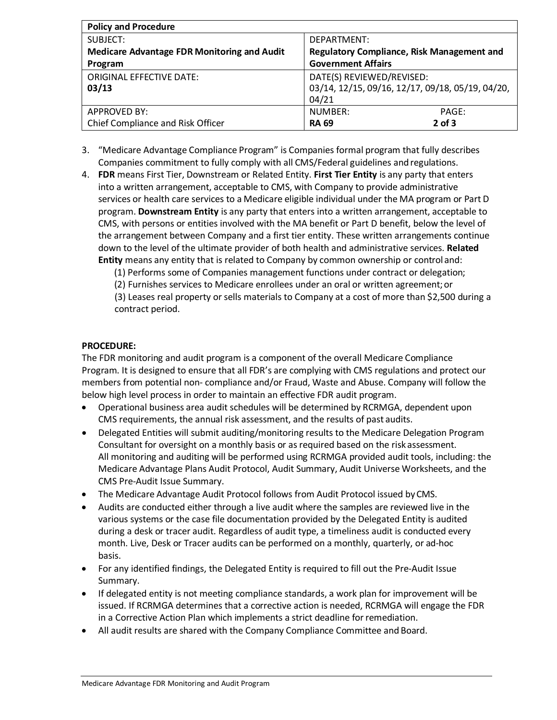| <b>Policy and Procedure</b>                        |                                                                               |  |
|----------------------------------------------------|-------------------------------------------------------------------------------|--|
| SUBJECT:                                           | DEPARTMENT:                                                                   |  |
| <b>Medicare Advantage FDR Monitoring and Audit</b> | <b>Regulatory Compliance, Risk Management and</b>                             |  |
| Program                                            | <b>Government Affairs</b>                                                     |  |
| <b>ORIGINAL EFFECTIVE DATE:</b><br>03/13           | DATE(S) REVIEWED/REVISED:<br>03/14, 12/15, 09/16, 12/17, 09/18, 05/19, 04/20, |  |
|                                                    | 04/21                                                                         |  |
| APPROVED BY:                                       | NUMBER:<br>PAGE:                                                              |  |
| Chief Compliance and Risk Officer                  | $2$ of 3<br><b>RA 69</b>                                                      |  |

- 3. "Medicare Advantage Compliance Program" is Companies formal program that fully describes Companies commitment to fully comply with all CMS/Federal guidelines andregulations.
- 4. **FDR** means First Tier, Downstream or Related Entity. **First Tier Entity** is any party that enters into a written arrangement, acceptable to CMS, with Company to provide administrative services or health care services to a Medicare eligible individual under the MA program or Part D program. **Downstream Entity** is any party that enters into a written arrangement, acceptable to CMS, with persons or entities involved with the MA benefit or Part D benefit, below the level of the arrangement between Company and a first tier entity. These written arrangements continue down to the level of the ultimate provider of both health and administrative services. **Related Entity** means any entity that is related to Company by common ownership or control and:
	- (1) Performs some of Companies management functions under contract or delegation;
	- (2) Furnishes services to Medicare enrollees under an oral or written agreement;or

(3) Leases real property or sells materials to Company at a cost of more than \$2,500 during a contract period.

### **PROCEDURE:**

The FDR monitoring and audit program is a component of the overall Medicare Compliance Program. It is designed to ensure that all FDR's are complying with CMS regulations and protect our members from potential non- compliance and/or Fraud, Waste and Abuse. Company will follow the below high level process in order to maintain an effective FDR audit program.

- Operational business area audit schedules will be determined by RCRMGA, dependent upon CMS requirements, the annual risk assessment, and the results of past audits.
- Delegated Entities will submit auditing/monitoring results to the Medicare Delegation Program Consultant for oversight on a monthly basis or as required based on the risk assessment. All monitoring and auditing will be performed using RCRMGA provided audit tools, including: the Medicare Advantage Plans Audit Protocol, Audit Summary, Audit Universe Worksheets, and the CMS Pre-Audit Issue Summary.
- The Medicare Advantage Audit Protocol follows from Audit Protocol issued byCMS.
- Audits are conducted either through a live audit where the samples are reviewed live in the various systems or the case file documentation provided by the Delegated Entity is audited during a desk or tracer audit. Regardless of audit type, a timeliness audit is conducted every month. Live, Desk or Tracer audits can be performed on a monthly, quarterly, or ad-hoc basis.
- For any identified findings, the Delegated Entity is required to fill out the Pre-Audit Issue Summary.
- If delegated entity is not meeting compliance standards, a work plan for improvement will be issued. If RCRMGA determines that a corrective action is needed, RCRMGA will engage the FDR in a Corrective Action Plan which implements a strict deadline forremediation.
- All audit results are shared with the Company Compliance Committee and Board.